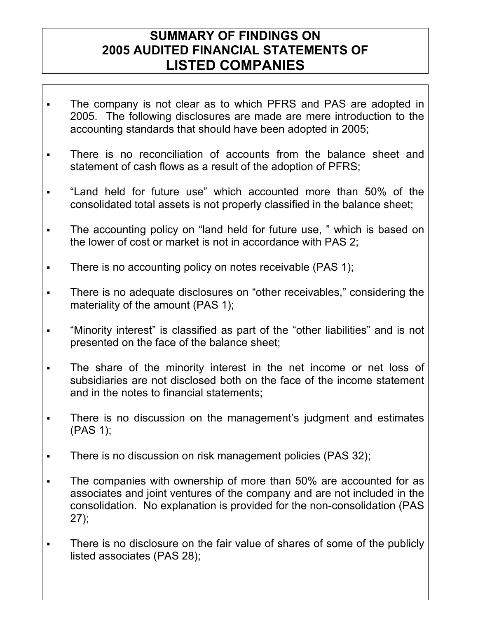## **SUMMARY OF FINDINGS ON 2005 AUDITED FINANCIAL STATEMENTS OF LISTED COMPANIES**

- The company is not clear as to which PFRS and PAS are adopted in 2005. The following disclosures are made are mere introduction to the accounting standards that should have been adopted in 2005;
- There is no reconciliation of accounts from the balance sheet and statement of cash flows as a result of the adoption of PFRS;
- "Land held for future use" which accounted more than 50% of the consolidated total assets is not properly classified in the balance sheet;
- The accounting policy on "land held for future use, " which is based on the lower of cost or market is not in accordance with PAS 2;
- There is no accounting policy on notes receivable (PAS 1);
- There is no adequate disclosures on "other receivables," considering the materiality of the amount (PAS 1);
- "Minority interest" is classified as part of the "other liabilities" and is not presented on the face of the balance sheet;
- The share of the minority interest in the net income or net loss of subsidiaries are not disclosed both on the face of the income statement and in the notes to financial statements;
- There is no discussion on the management's judgment and estimates (PAS 1);
- There is no discussion on risk management policies (PAS 32);
- The companies with ownership of more than 50% are accounted for as associates and joint ventures of the company and are not included in the consolidation. No explanation is provided for the non-consolidation (PAS 27);
- There is no disclosure on the fair value of shares of some of the publicly listed associates (PAS 28);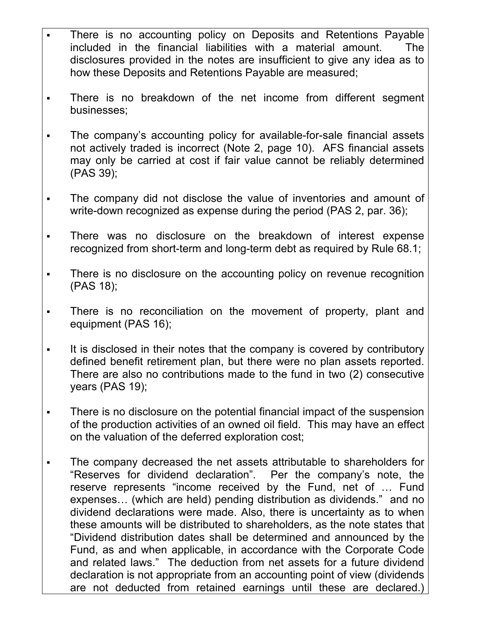- There is no accounting policy on Deposits and Retentions Payable included in the financial liabilities with a material amount. The disclosures provided in the notes are insufficient to give any idea as to how these Deposits and Retentions Payable are measured;
- There is no breakdown of the net income from different segment businesses;
- The company's accounting policy for available-for-sale financial assets not actively traded is incorrect (Note 2, page 10). AFS financial assets may only be carried at cost if fair value cannot be reliably determined (PAS 39);
- The company did not disclose the value of inventories and amount of write-down recognized as expense during the period (PAS 2, par. 36);
- There was no disclosure on the breakdown of interest expense recognized from short-term and long-term debt as required by Rule 68.1;
- There is no disclosure on the accounting policy on revenue recognition (PAS 18);
- There is no reconciliation on the movement of property, plant and equipment (PAS 16);
- It is disclosed in their notes that the company is covered by contributory defined benefit retirement plan, but there were no plan assets reported. There are also no contributions made to the fund in two (2) consecutive years (PAS 19);
- There is no disclosure on the potential financial impact of the suspension of the production activities of an owned oil field. This may have an effect on the valuation of the deferred exploration cost;
- The company decreased the net assets attributable to shareholders for "Reserves for dividend declaration". Per the company's note, the reserve represents "income received by the Fund, net of … Fund expenses… (which are held) pending distribution as dividends." and no dividend declarations were made. Also, there is uncertainty as to when these amounts will be distributed to shareholders, as the note states that "Dividend distribution dates shall be determined and announced by the Fund, as and when applicable, in accordance with the Corporate Code and related laws." The deduction from net assets for a future dividend declaration is not appropriate from an accounting point of view (dividends are not deducted from retained earnings until these are declared.)